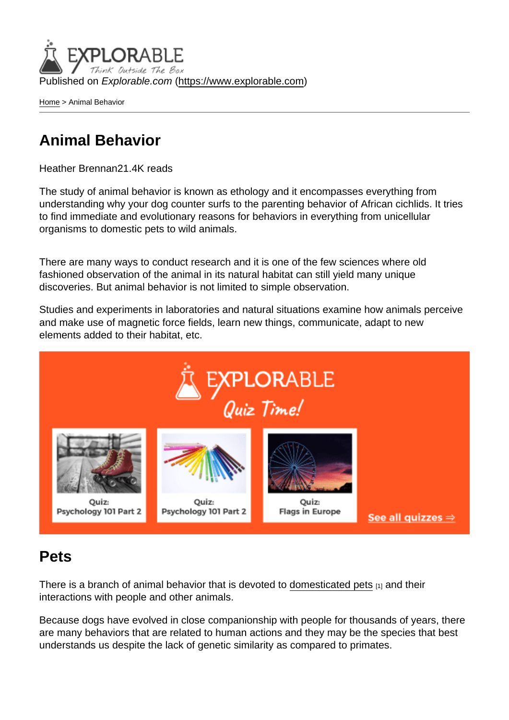Published on Explorable.com (<https://www.explorable.com>)

[Home](https://www.explorable.com/) > Animal Behavior

## Animal Behavior

Heather Brennan21.4K reads

The study of animal behavior is known as ethology and it encompasses everything from understanding why your dog counter surfs to the parenting behavior of African cichlids. It tries to find immediate and evolutionary reasons for behaviors in everything from unicellular organisms to domestic pets to wild animals.

There are many ways to conduct research and it is one of the few sciences where old fashioned observation of the animal in its natural habitat can still yield many unique discoveries. But animal behavior is not limited to simple observation.

Studies and experiments in laboratories and natural situations examine how animals perceive and make use of magnetic force fields, learn new things, communicate, adapt to new elements added to their habitat, etc.

#### Pets

There is a branch of animal behavior that is devoted to [domesticated pets](http://www.usask.ca/wcvm/herdmed/applied-ethology/problems.html)  $_{11}$  and their interactions with people and other animals.

Because dogs have evolved in close companionship with people for thousands of years, there are many behaviors that are related to human actions and they may be the species that best understands us despite the lack of genetic similarity as compared to primates.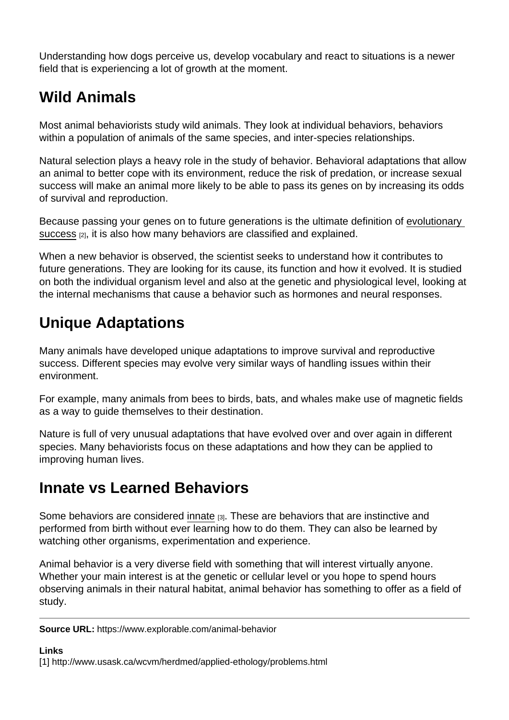Understanding how dogs perceive us, develop vocabulary and react to situations is a newer field that is experiencing a lot of growth at the moment.

# Wild Animals

Most animal behaviorists study wild animals. They look at individual behaviors, behaviors within a population of animals of the same species, and inter-species relationships.

Natural selection plays a heavy role in the study of behavior. Behavioral adaptations that allow an animal to better cope with its environment, reduce the risk of predation, or increase sexual success will make an animal more likely to be able to pass its genes on by increasing its odds of survival and reproduction.

Because passing your genes on to future generations is the ultimate definition of [evolutionary](http://mcat-review.org/evolution.php)  [success](http://mcat-review.org/evolution.php) [2], it is also how many behaviors are classified and explained.

When a new behavior is observed, the scientist seeks to understand how it contributes to future generations. They are looking for its cause, its function and how it evolved. It is studied on both the individual organism level and also at the genetic and physiological level, looking at the internal mechanisms that cause a behavior such as hormones and neural responses.

## Unique Adaptations

Many animals have developed unique adaptations to improve survival and reproductive success. Different species may evolve very similar ways of handling issues within their environment.

For example, many animals from bees to birds, bats, and whales make use of magnetic fields as a way to guide themselves to their destination.

Nature is full of very unusual adaptations that have evolved over and over again in different species. Many behaviorists focus on these adaptations and how they can be applied to improving human lives.

## Innate vs Learned Behaviors

Some behaviors are considered [innate](http://users.rcn.com/jkimball.ma.ultranet/BiologyPages/I/InnateBehavior.html) [3]. These are behaviors that are instinctive and performed from birth without ever learning how to do them. They can also be learned by watching other organisms, experimentation and experience.

Animal behavior is a very diverse field with something that will interest virtually anyone. Whether your main interest is at the genetic or cellular level or you hope to spend hours observing animals in their natural habitat, animal behavior has something to offer as a field of study.

Source URL: https://www.explorable.com/animal-behavior